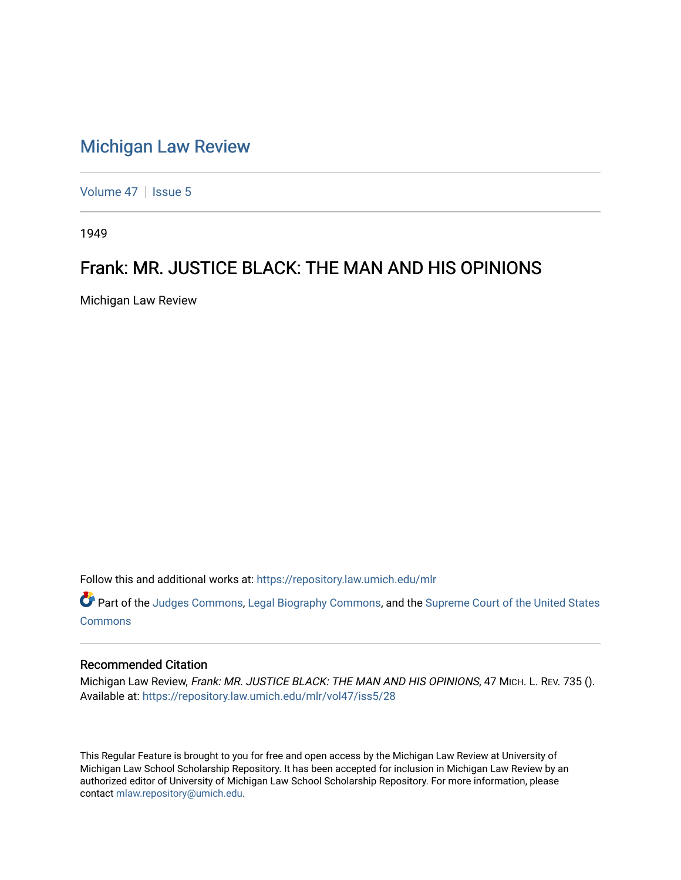## [Michigan Law Review](https://repository.law.umich.edu/mlr)

[Volume 47](https://repository.law.umich.edu/mlr/vol47) | [Issue 5](https://repository.law.umich.edu/mlr/vol47/iss5)

1949

## Frank: MR. JUSTICE BLACK: THE MAN AND HIS OPINIONS

Michigan Law Review

Follow this and additional works at: [https://repository.law.umich.edu/mlr](https://repository.law.umich.edu/mlr?utm_source=repository.law.umich.edu%2Fmlr%2Fvol47%2Fiss5%2F28&utm_medium=PDF&utm_campaign=PDFCoverPages) 

Part of the [Judges Commons,](http://network.bepress.com/hgg/discipline/849?utm_source=repository.law.umich.edu%2Fmlr%2Fvol47%2Fiss5%2F28&utm_medium=PDF&utm_campaign=PDFCoverPages) [Legal Biography Commons,](http://network.bepress.com/hgg/discipline/834?utm_source=repository.law.umich.edu%2Fmlr%2Fvol47%2Fiss5%2F28&utm_medium=PDF&utm_campaign=PDFCoverPages) and the Supreme Court of the United States [Commons](http://network.bepress.com/hgg/discipline/1350?utm_source=repository.law.umich.edu%2Fmlr%2Fvol47%2Fiss5%2F28&utm_medium=PDF&utm_campaign=PDFCoverPages)

## Recommended Citation

Michigan Law Review, Frank: MR. JUSTICE BLACK: THE MAN AND HIS OPINIONS, 47 MICH. L. REV. 735 (). Available at: [https://repository.law.umich.edu/mlr/vol47/iss5/28](https://repository.law.umich.edu/mlr/vol47/iss5/28?utm_source=repository.law.umich.edu%2Fmlr%2Fvol47%2Fiss5%2F28&utm_medium=PDF&utm_campaign=PDFCoverPages) 

This Regular Feature is brought to you for free and open access by the Michigan Law Review at University of Michigan Law School Scholarship Repository. It has been accepted for inclusion in Michigan Law Review by an authorized editor of University of Michigan Law School Scholarship Repository. For more information, please contact [mlaw.repository@umich.edu](mailto:mlaw.repository@umich.edu).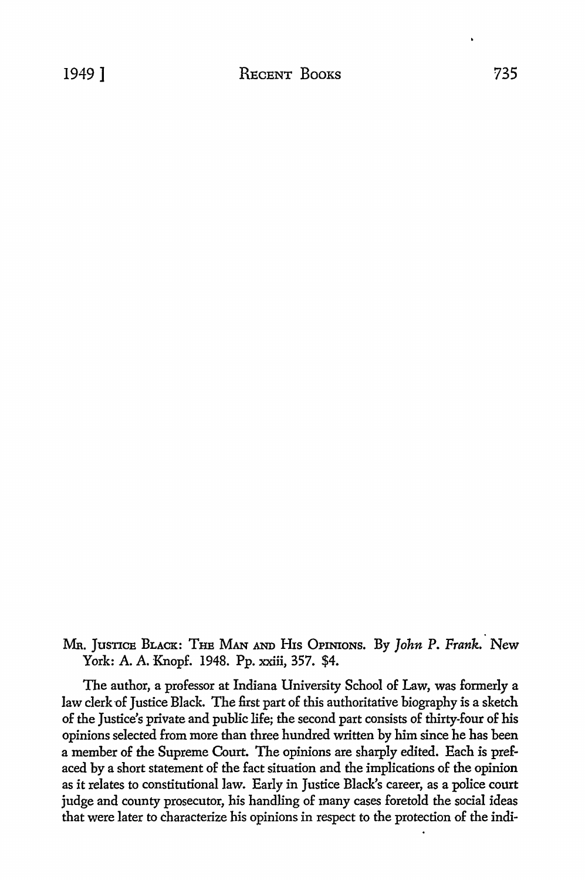MR. JusnCB BLACK: THB MAN AND His OPINIONS, By *John* P. *Frank.* New York: A. A. Knopf. 1948. Pp. xxiii, 357. \$4.

The author, a professor at Indiana University School of Law, was formerly a law clerk of Justice Black. The first part of this authoritative biography is a sketch of the Justice's private and public life; the second part consists of thirty-four of his opinions selected from more than three hundred written by him since he has been a member of the Supreme Court. The opinions are sharply edited. Each is prefaced by a short statement of the fact situation and the implications of the opinion as it relates to constitutional law. Early in Justice Black's career, as a police court judge and county prosecutor, his handling of many cases foretold the social ideas that were later to characterize his opinions in respect to the protection of the indi·